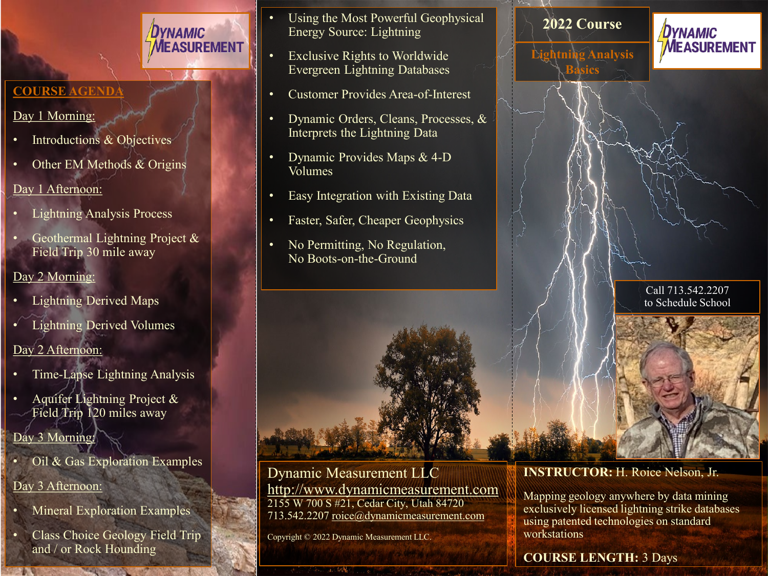## **COURSE AG**

#### Day 1 Morning:

- Introductions & Objectives
- Other EM Methods & Origins

DYNAMIC

**MEASUREMENT** 

#### Day 1 Afternoon:

- Lightning Analysis Process
- Geothermal Lightning Project & Field Trip 30 mile away

### Day 2 Morning:

- Lightning Derived Maps
- Lightning Derived Volumes

### Day 2 Afternoon:

- Time-Lapse Lightning Analysis
- Aquifer Lightning Project & Field Trip 120 miles away

## Day 3 Morning:

- Oil & Gas Exploration Examples
- Day 3 Afternoon:
- Mineral Exploration Examples
- Class Choice Geology Field Trip and / or Rock Hounding
- Using the Most Powerful Geophysical Energy Source: Lightning
- Exclusive Rights to Worldwide Evergreen Lightning Databases
- Customer Provides Area-of-Interest
- Dynamic Orders, Cleans, Processes, & Interprets the Lightning Data
- Dynamic Provides Maps & 4-D Volumes
- Easy Integration with Existing Data
- Faster, Safer, Cheaper Geophysics
- No Permitting, No Regulation, No Boots-on-the-Ground



Dynamic Measurement LLC [http://www.dynamicmeasurement.com](http://www.dynamicmeasurement.com/) 2155 W 700 S #21, Cedar City, Utah 84720 713.542.2207 [roice@dynamicmeasurement.com](mailto:roice@dynamicmeasurement.com)

Copyright © 2022 Dynamic Measurement LLC.



**Basics**

**Lightning Analysis** 



Call 713.542.2207 to Schedule School

**INSTRUCTOR:** H. Roice Nelson, Jr.

Mapping geology anywhere by data mining exclusively licensed lightning strike databases using patented technologies on standard workstations

## **COURSE LENGTH:** 3 Days